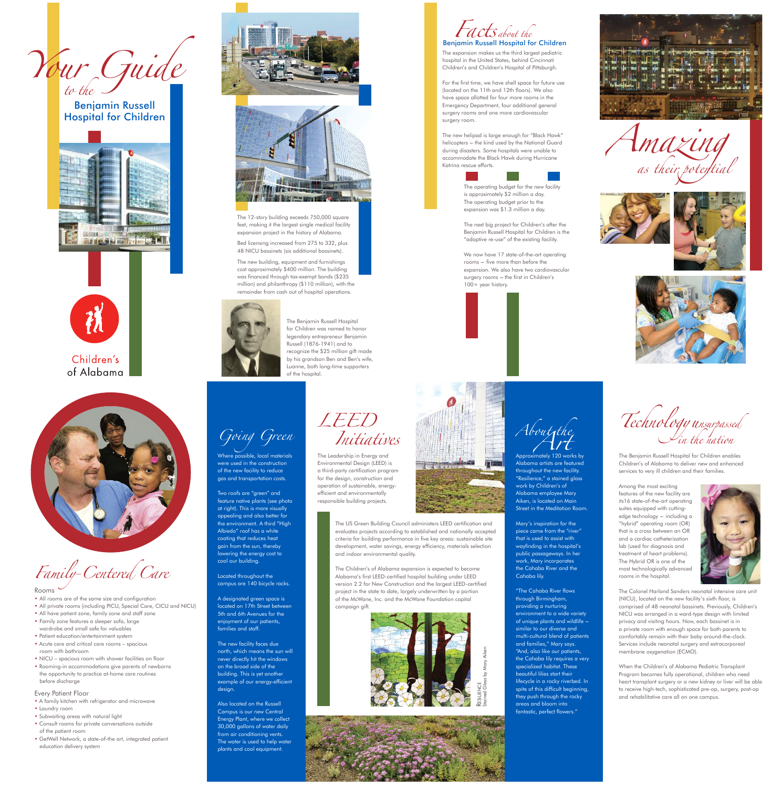Benjamin Russell Hospital for Children







Family-Centered Care



The Benjamin Russell Hospital for children was named to honor legendary entrepreneur Benjamin Russell (1876-1941) and to recognize the \$25 million gift made by his grandson Ben and Ben's wife, luanne, both long-time supporters of the hospital.

Bed licensing increased from 275 to 332, plus 48 NICU bassinets (six additional bassinets).

The 12-story building exceeds 750,000 square feet, making it the largest single medical facility expansion project in the history of Alabama.

The new building, equipment and furnishings cost approximately \$400 million. The building was financed through tax-exempt bonds (\$235 million) and philanthropy (\$110 million), with the remainder from cash out of hospital operations.



The expansion makes us the third largest pediatric hospital in the United states, behind cincinnati children's and children's Hospital of Pittsburgh.

to the Your Guide

For the first time, we have shell space for future use (located on the 11th and 12th floors). We also have space allotted for four more rooms in the emergency Department, four additional general surgery rooms and one more cardiovascular surgery room.

The new helipad is large enough for "Black Hawk" helicopters -- the kind used by the National Guard during disasters. some hospitals were unable to accommodate the Black Hawk during Hurricane Katrina rescue efforts.



The operating budget for the new facility is approximately \$2 million a day. The operating budget prior to the expansion was \$1.3 million a day.

The next big project for children's after the Benjamin Russell Hospital for children is the "adaptive re-use" of the existing facility.

We now have 17 state-of-the-art operating rooms - five more than before the expansion. We also have two cardiovascular surgery rooms - the first in Children's 100+ year history.



Facts about the Benjamin Russell Hospital for Children











The Leadership in Energy and Environmental Design (LEED) is a third-party certification program for the design, construction and operation of sustainable, energyefficient and environmentally responsible building projects.

Lechnology unsurpassed in the nation





The colonel Harland sanders neonatal intensive care unit (nicU), located on the new facility's sixth floor, is comprised of 48 neonatal bassinets. Previously, children's nicU was arranged in a ward-type design with limited privacy and visiting hours. Now, each bassinet is in a private room with enough space for both parents to comfortably remain with their baby around-the-clock. services include neonatal surgery and extracorporeal membrane oxygenation (ECMO).

- All have patient zone, family zone and staff zone • Family zone features a sleeper sofa, large wardrobe and small safe for valuables
- Patient education/entertainment system
- Acute care and critical care rooms spacious room with bathroom
- NICU spacious room with shower facilities on floor • Rooming-in accommodations give parents of newborns the opportunity to practice at-home care routines before discharge

#### Every Patient Floor

- A family kitchen with refrigerator and microwave
- laundry room
- subwaiting areas with natural light
- consult rooms for private conversations outside of the patient room
- GetWell network, a state-of-the art, integrated patient education delivery system



Alabama artists are featured throughout the new facility. "Resilience," a stained glass work by children's of Alabama employee Mary Aiken, is located on Main street in the Meditation Room.

Mary's inspiration for the piece came from the "river" that is used to assist with wayfinding in the hospital's public passageways. in her work, Mary incorporates the cahaba River and the cahaba lily.

The US Green Building Council administers LEED certification and evaluates projects according to established and nationally accepted criteria for building performance in five key areas: sustainable site development, water savings, energy efficiency, materials selection and indoor environmental quality.

> **RESILIENCE** stained Glass by Mary Aiken

"The cahaba River flows through Birmingham, providing a nurturing environment to a wide variety of unique plants and wildlife  $$ similar to our diverse and multi-cultural blend of patients and families," Mary says. "And, also like our patients, the cahaba lily requires a very specialized habitat. These beautiful lilies start their lifecycle in a rocky riverbed. in spite of this difficult beginning, they push through the rocky areas and bloom into fantastic, perfect flowers."





The Benjamin Russell Hospital for children enables children's of Alabama to deliver new and enhanced services to very ill children and their families.

Among the most exciting features of the new facility are its16 state-of-the-art operating suites equipped with cuttingedge technology - including a "hybrid" operating room (OR) that is a cross between an OR and a cardiac catheterization lab (used for diagnosis and treatment of heart problems). The Hybrid OR is one of the most technologically advanced rooms in the hospital.



When the children's of Alabama Pediatric Transplant Program becomes fully operational, children who need heart transplant surgery or a new kidney or liver will be able to receive high-tech, sophisticated pre-op, surgery, post-op and rehabilitative care all on one campus.

# Going Green

Where possible, local materials were used in the construction of the new facility to reduce gas and transportation costs.

Two roofs are "green" and feature native plants (see photo at right). This is more visually appealing and also better for the environment. A third "High Albiedo" roof has a white coating that reduces heat gain from the sun, thereby lowering the energy cost to cool our building.

located throughout the campus are 140 bicycle racks.

A designated green space is located on 17th Street between 5th and 6th Avenues for the

#### enjoyment of our patients, families and staff.

The new facility faces due north, which means the sun will never directly hit the windows on the broad side of the building. This is yet another example of our energy-efficient design.

Also located on the Russell Campus is our new Central Energy Plant, where we collect 30,000 gallons of water daily from air conditioning vents. The water is used to help water plants and cool equipment.



The children's of Alabama expansion is expected to become Alabama's first LEED-certified hospital building under LEED version 2.2 for New Construction and the largest LEED-certified project in the state to date, largely underwritten by a portion of the McWane, inc. and the McWane Foundation capital campaign gift.